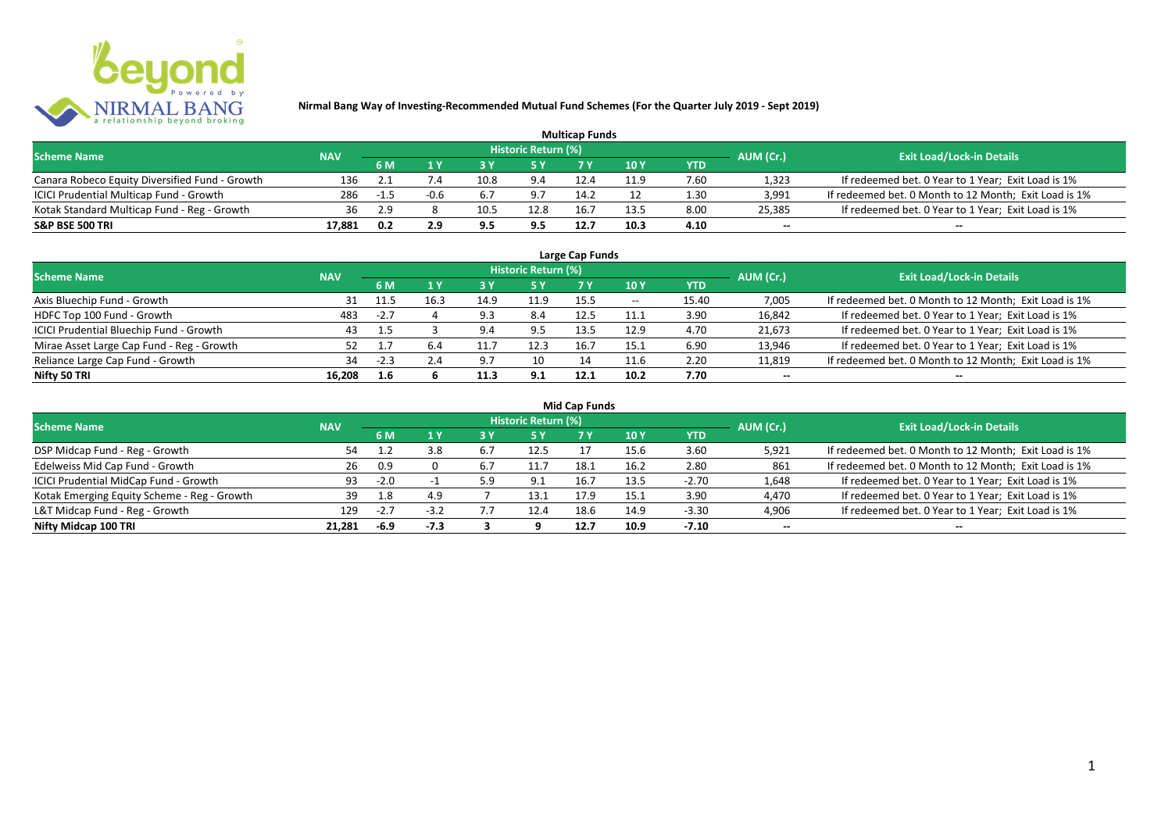

| <b>Multicap Funds</b>                          |            |                   |      |      |                            |      |      |      |                          |                                                       |  |  |
|------------------------------------------------|------------|-------------------|------|------|----------------------------|------|------|------|--------------------------|-------------------------------------------------------|--|--|
| <b>Scheme Name</b>                             | <b>NAV</b> |                   |      |      | <b>Historic Return (%)</b> |      |      |      | AUM (Cr.)                | <b>Exit Load/Lock-in Details</b>                      |  |  |
|                                                |            | 6 M<br>10Y<br>YTD |      |      |                            |      |      |      |                          |                                                       |  |  |
| Canara Robeco Equity Diversified Fund - Growth | 136        |                   |      | 10.8 | 9.4                        | 12.4 | 11.9 | 7.60 | 1,323                    | If redeemed bet. 0 Year to 1 Year; Exit Load is 1%    |  |  |
| ICICI Prudential Multicap Fund - Growth        | 286        | -1.5              | -0.6 | 6.7  | 9.7                        | 14.2 |      | 1.30 | 3,991                    | If redeemed bet. 0 Month to 12 Month; Exit Load is 1% |  |  |
| Kotak Standard Multicap Fund - Reg - Growth    | 36         | 2.9               |      | 10.5 | 12.8                       | 16.  | 125  | 8.00 | 25,385                   | If redeemed bet. 0 Year to 1 Year; Exit Load is 1%    |  |  |
| S&P BSE 500 TRI                                | 17.881     | 0.2               | 2.9  | 9.5  | 9.5                        | 12.7 | 10.3 | 4.10 | $\overline{\phantom{a}}$ | $\overline{\phantom{a}}$                              |  |  |

| Large Cap Funds<br>Historic Return (%)    |            |        |      |             |      |      |       |            |                          |                                                       |  |  |  |
|-------------------------------------------|------------|--------|------|-------------|------|------|-------|------------|--------------------------|-------------------------------------------------------|--|--|--|
| <b>Scheme Name</b>                        | <b>NAV</b> | 6 M    | 1 Y  |             | 5 Y  |      | 10Y   | <b>YTD</b> | AUM (Cr.)                | <b>Exit Load/Lock-in Details</b>                      |  |  |  |
| Axis Bluechip Fund - Growth               | 31         | 11.5   | 16.3 | 14.9        | 11.9 | 15.5 | $- -$ | 15.40      | 7,005                    | If redeemed bet. 0 Month to 12 Month; Exit Load is 1% |  |  |  |
| HDFC Top 100 Fund - Growth                | 483        | $-2.7$ |      | ດ ວ<br>د. د | 8.4  | 12.5 | 11.1  | 3.90       | 16,842                   | If redeemed bet. 0 Year to 1 Year; Exit Load is 1%    |  |  |  |
| ICICI Prudential Bluechip Fund - Growth   | 43         | 1.5    |      | $Q \wedge$  | 9.5  | 13.5 | 12.9  | 4.70       | 21,673                   | If redeemed bet. 0 Year to 1 Year; Exit Load is 1%    |  |  |  |
| Mirae Asset Large Cap Fund - Reg - Growth |            |        | 6.4  | 11.7        | 12.3 | 16.7 | 15.1  | 6.90       | 13,946                   | If redeemed bet. 0 Year to 1 Year; Exit Load is 1%    |  |  |  |
| Reliance Large Cap Fund - Growth          | 34         | $-2.3$ | 2.4  | 97          | 10   | 14   | 11.6  | 2.20       | 11,819                   | If redeemed bet. 0 Month to 12 Month; Exit Load is 1% |  |  |  |
| Nifty 50 TRI                              | 16.208     | 1.6    |      | 11.3        | 9.1  | 12.1 | 10.2  | 7.70       | $\overline{\phantom{a}}$ | $\overline{\phantom{a}}$                              |  |  |  |

|  |  | <b>Mid Cap Funds</b> |
|--|--|----------------------|
|--|--|----------------------|

| <b>Scheme Name</b>                          | <b>NAV</b> |        |        |     | Historic Return (%) |      |      |            | AUM (Cr.)                | <b>Exit Load/Lock-in Details</b>                      |
|---------------------------------------------|------------|--------|--------|-----|---------------------|------|------|------------|--------------------------|-------------------------------------------------------|
|                                             |            | 6 M    |        | 3 Y | 5 Y                 | 7 V  | 10 Y | <b>YTD</b> |                          |                                                       |
| DSP Midcap Fund - Reg - Growth              | 54         |        | 3.8    |     | 12.5                |      | 15.6 | 3.60       | 5,921                    | If redeemed bet. 0 Month to 12 Month; Exit Load is 1% |
| Edelweiss Mid Cap Fund - Growth             | 26         | 0.9    |        |     | 11.                 | 18.1 | 16.2 | 2.80       | 861                      | If redeemed bet. 0 Month to 12 Month; Exit Load is 1% |
| ICICI Prudential MidCap Fund - Growth       | 93         | $-2.0$ |        |     | <b>Q</b> 1          |      | 13.5 | $-2.70$    | 1,648                    | If redeemed bet. 0 Year to 1 Year; Exit Load is 1%    |
| Kotak Emerging Equity Scheme - Reg - Growth | 39         | 1.8    | 4.9    |     | 13.1                |      | 15.1 | 3.90       | 4,470                    | If redeemed bet. 0 Year to 1 Year; Exit Load is 1%    |
| L&T Midcap Fund - Reg - Growth              | 129        | $-2.7$ | $-3.2$ |     | 12.4                | 18.6 | 14.9 | $-3.30$    | 4,906                    | If redeemed bet. 0 Year to 1 Year; Exit Load is 1%    |
| Nifty Midcap 100 TRI                        | 21.281     | $-6.9$ | $-7.3$ |     |                     | 12.7 | 10.9 | $-7.10$    | $\overline{\phantom{a}}$ | $\hspace{0.1mm}-\hspace{0.1mm}-\hspace{0.1mm}$        |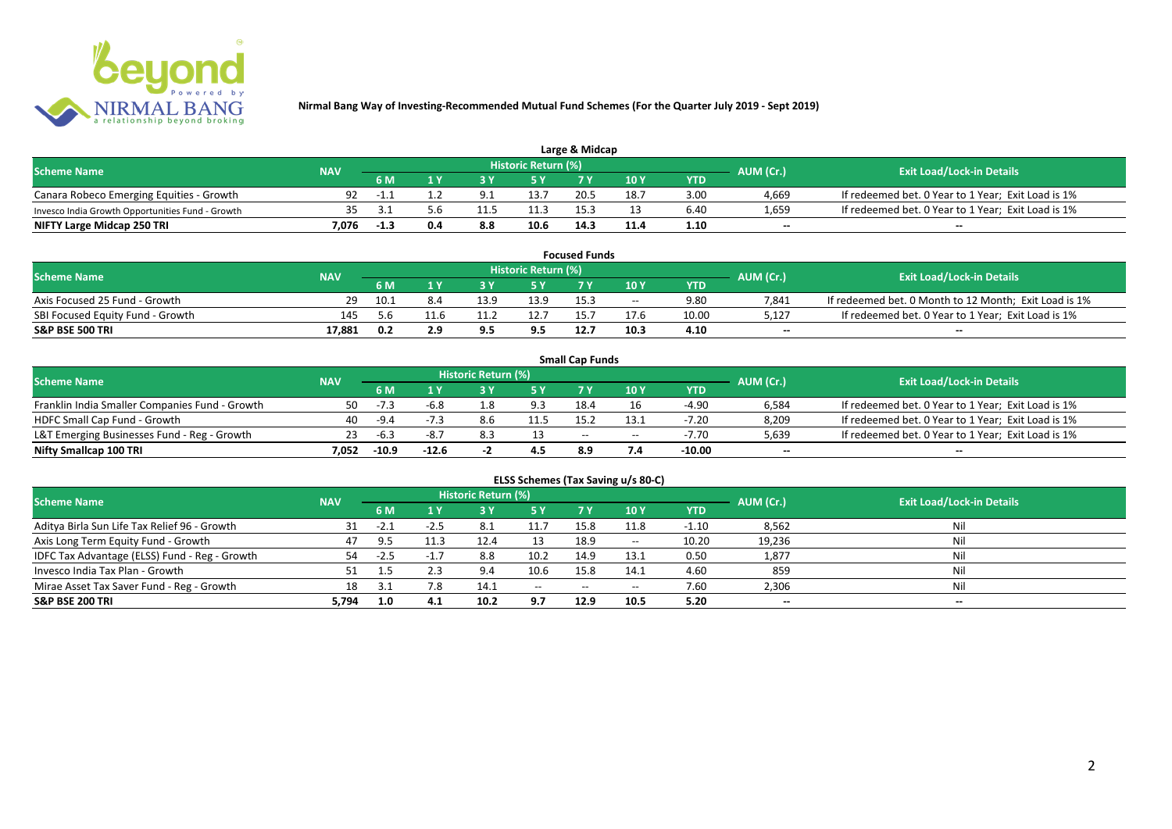

| Large & Midcap                                   |                          |        |     |     |                     |      |      |      |                          |                                                    |  |  |
|--------------------------------------------------|--------------------------|--------|-----|-----|---------------------|------|------|------|--------------------------|----------------------------------------------------|--|--|
| <b>Scheme Name</b>                               |                          |        |     |     | Historic Return (%) |      |      |      | AUM (Cr.)                | <b>Exit Load/Lock-in Details</b>                   |  |  |
|                                                  | <b>NAV</b><br>6 M<br>7 V |        |     |     |                     | 10Y  | YTD  |      |                          |                                                    |  |  |
| Canara Robeco Emerging Equities - Growth         | 92                       | - 1.1  |     |     | 13.7                | 20.5 |      | 3.00 | 4.669                    | If redeemed bet. 0 Year to 1 Year; Exit Load is 1% |  |  |
| Invesco India Growth Opportunities Fund - Growth | 35.                      |        |     |     | 11.3                |      |      | 6.40 | 1,659                    | If redeemed bet. 0 Year to 1 Year; Exit Load is 1% |  |  |
| NIFTY Large Midcap 250 TRI                       | 7.076                    | $-1.3$ | 0.4 | 8.8 | 10.6                | 14.3 | 11.4 | 1.10 | $\overline{\phantom{a}}$ | $- -$                                              |  |  |

| <b>Focused Funds</b>             |            |      |      |      |                     |      |       |            |                          |                                                       |  |
|----------------------------------|------------|------|------|------|---------------------|------|-------|------------|--------------------------|-------------------------------------------------------|--|
| <b>Scheme Name</b>               | <b>NAV</b> |      |      |      | Historic Return (%) |      |       |            | AUM (Cr.)                | <b>Exit Load/Lock-in Details</b>                      |  |
|                                  |            | 6 M  |      |      | <b>EV</b>           |      | 10 Y  | <b>YTD</b> |                          |                                                       |  |
| Axis Focused 25 Fund - Growth    |            | 10.1 |      | 12 Q | 13.9                | 15.3 | $- -$ | 9.80       | 7.841                    | If redeemed bet. 0 Month to 12 Month; Exit Load is 1% |  |
| SBI Focused Equity Fund - Growth | 145        | 5.6  | 11.6 |      | 12.7                |      |       | 10.00      | 5.127                    | If redeemed bet. 0 Year to 1 Year; Exit Load is 1%    |  |
| <b>S&amp;P BSE 500 TRI</b>       | 17.881     | 0.2  |      |      | 9.5                 | 12.7 | 10.3  | 4.10       | $\overline{\phantom{a}}$ | $- -$                                                 |  |

|                                                |            |         |         |                     |      | <b>Small Cap Funds</b> |       |         |                          |                                                    |
|------------------------------------------------|------------|---------|---------|---------------------|------|------------------------|-------|---------|--------------------------|----------------------------------------------------|
| <b>Scheme Name</b>                             | <b>NAV</b> |         |         | Historic Return (%) |      |                        |       |         | AUM (Cr.)                | <b>Exit Load/Lock-in Details</b>                   |
|                                                |            | 6 M     |         |                     |      |                        | 10 Y  | YTD     |                          |                                                    |
| Franklin India Smaller Companies Fund - Growth | 50.        | -7.3    | -6.8    | 8.ء                 | 9.3  | 18.4                   |       | $-4.90$ | 6,584                    | If redeemed bet. 0 Year to 1 Year; Exit Load is 1% |
| HDFC Small Cap Fund - Growth                   | 40         | -9.4    |         | 8.6                 | 11.5 | 15.2                   |       | $-7.20$ | 8,209                    | If redeemed bet. 0 Year to 1 Year; Exit Load is 1% |
| L&T Emerging Businesses Fund - Reg - Growth    | 23         | -6.3    | -8.7    |                     |      | $-$                    | $- -$ | $-7.70$ | 5,639                    | If redeemed bet. 0 Year to 1 Year; Exit Load is 1% |
| Nifty Smallcap 100 TRI                         | 7.052      | $-10.9$ | $-12.6$ |                     | 4.5  | 8.9                    |       | -10.00  | $\overline{\phantom{a}}$ | $-$                                                |

| ELSS Schemes (Tax Saving u/s 80-C)            |            |        |        |                            |                                       |           |       |            |           |                                  |  |  |
|-----------------------------------------------|------------|--------|--------|----------------------------|---------------------------------------|-----------|-------|------------|-----------|----------------------------------|--|--|
| <b>Scheme Name</b>                            | <b>NAV</b> |        |        | <b>Historic Return (%)</b> |                                       |           |       |            | AUM (Cr.) | <b>Exit Load/Lock-in Details</b> |  |  |
|                                               |            | 6 M    | 1 Y    | /3 Y                       | <b>5Y</b>                             | <b>7Y</b> | 10 Y  | <b>YTD</b> |           |                                  |  |  |
| Aditya Birla Sun Life Tax Relief 96 - Growth  | 31         | $-2.1$ | $-2.5$ | 8.1                        |                                       | 15.8      | 11.8  | $-1.10$    | 8,562     | Nil                              |  |  |
| Axis Long Term Equity Fund - Growth           | 47         | 9.5    | 11.3   | 12.4                       | 13                                    | 18.9      | $- -$ | 10.20      | 19,236    | Nil                              |  |  |
| IDFC Tax Advantage (ELSS) Fund - Reg - Growth | 54         | $-2.5$ | $-1.7$ | 8.8                        | 10.2                                  | 14.9      | 13.1  | 0.50       | 1,877     | Nil                              |  |  |
| Invesco India Tax Plan - Growth               |            |        | 2.3    | 9.4                        | 10.6                                  | 15.8      | 14.1  | 4.60       | 859       | Nil                              |  |  |
| Mirae Asset Tax Saver Fund - Reg - Growth     | 18         | 3.1    | 7.8    | 14.1                       | $\hspace{0.05cm}$ – $\hspace{0.05cm}$ | $- -$     | $- -$ | 7.60       | 2,306     | Nil                              |  |  |
| S&P BSE 200 TRI                               | 5,794      | 1.0    | 4.1    | 10.2                       | 9.7                                   | 12.9      | 10.5  | 5.20       | $\sim$    | $\overline{\phantom{a}}$         |  |  |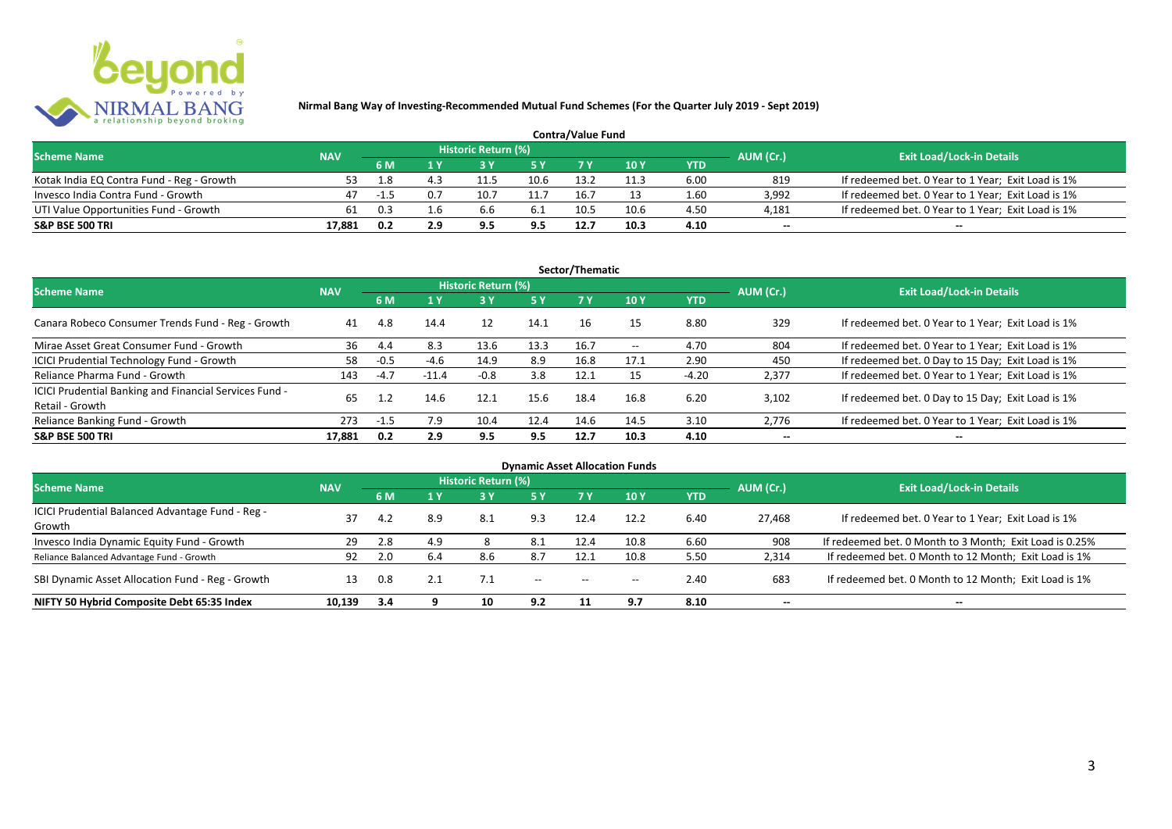

| <b>Contra/Value Fund</b>                  |            |      |     |                     |      |      |      |      |                          |                                                    |  |  |
|-------------------------------------------|------------|------|-----|---------------------|------|------|------|------|--------------------------|----------------------------------------------------|--|--|
| <b>Scheme Name</b>                        | <b>NAV</b> |      |     | Historic Return (%) |      |      |      |      | AUM (Cr.)                | <b>Exit Load/Lock-in Details</b>                   |  |  |
|                                           |            | 6 M  |     |                     |      |      | 10 Y | YTD  |                          |                                                    |  |  |
| Kotak India EQ Contra Fund - Reg - Growth | 53.        | 1.8  |     | 11.5                | 10.6 | 13.2 |      | 6.00 | 819                      | If redeemed bet. 0 Year to 1 Year; Exit Load is 1% |  |  |
| Invesco India Contra Fund - Growth        | 47         | -1.5 | 0.7 | 10.7                | 11.7 | 16.7 |      | 1.60 | 3.992                    | If redeemed bet. 0 Year to 1 Year; Exit Load is 1% |  |  |
| UTI Value Opportunities Fund - Growth     | 61         | 0.3  | .h  | b                   | -6.1 | 10.5 | 10.6 | 4.50 | 4,181                    | If redeemed bet. 0 Year to 1 Year; Exit Load is 1% |  |  |
| <b>S&amp;P BSE 500 TRI</b>                | 17.881     | 0.2  | 2.9 |                     | 9.5  | 12.7 | 10.3 | 4.10 | $\overline{\phantom{a}}$ | $\overline{\phantom{a}}$                           |  |  |

| Sector/Thematic                                                           |            |        |         |                     |           |      |                   |            |                          |                                                    |  |  |
|---------------------------------------------------------------------------|------------|--------|---------|---------------------|-----------|------|-------------------|------------|--------------------------|----------------------------------------------------|--|--|
| <b>Scheme Name</b>                                                        | <b>NAV</b> |        |         | Historic Return (%) |           |      |                   |            | AUM (Cr.)                | <b>Exit Load/Lock-in Details</b>                   |  |  |
|                                                                           |            | 6 M    | $A$ Y   |                     | <b>5Y</b> | 7Y   | 10Y               | <b>YTD</b> |                          |                                                    |  |  |
| Canara Robeco Consumer Trends Fund - Reg - Growth                         | 41         | 4.8    | 14.4    | 12                  | 14.1      | 16   | 15                | 8.80       | 329                      | If redeemed bet. 0 Year to 1 Year; Exit Load is 1% |  |  |
| Mirae Asset Great Consumer Fund - Growth                                  | 36         | 4.4    | 8.3     | 13.6                | 13.3      | 16.7 | $\hspace{0.05cm}$ | 4.70       | 804                      | If redeemed bet. 0 Year to 1 Year; Exit Load is 1% |  |  |
| ICICI Prudential Technology Fund - Growth                                 | 58         | $-0.5$ | $-4.6$  | 14.9                | 8.9       | 16.8 | 17.1              | 2.90       | 450                      | If redeemed bet. 0 Day to 15 Day; Exit Load is 1%  |  |  |
| Reliance Pharma Fund - Growth                                             | 143        | $-4.7$ | $-11.4$ | $-0.8$              | 3.8       | 12.1 |                   | $-4.20$    | 2,377                    | If redeemed bet. 0 Year to 1 Year; Exit Load is 1% |  |  |
| ICICI Prudential Banking and Financial Services Fund -<br>Retail - Growth | 65.        |        | 14.6    | 12.1                | 15.6      | 18.4 | 16.8              | 6.20       | 3.102                    | If redeemed bet. 0 Day to 15 Day; Exit Load is 1%  |  |  |
| Reliance Banking Fund - Growth                                            | 273        | $-1.5$ | 7.9     | 10.4                | 12.4      | 14.6 | 14.5              | 3.10       | 2,776                    | If redeemed bet. 0 Year to 1 Year; Exit Load is 1% |  |  |
| <b>S&amp;P BSE 500 TRI</b>                                                | 17.881     | 0.2    | 2.9     | 9.5                 | 9.5       | 12.7 | 10.3              | 4.10       | $\overline{\phantom{a}}$ | $- -$                                              |  |  |

|                                                            |            |     |     |                     |                          |                                                | <b>Dynamic Asset Allocation Funds</b> |            |           |                                                         |
|------------------------------------------------------------|------------|-----|-----|---------------------|--------------------------|------------------------------------------------|---------------------------------------|------------|-----------|---------------------------------------------------------|
| <b>Scheme Name</b>                                         | <b>NAV</b> |     |     | Historic Return (%) |                          |                                                |                                       |            | AUM (Cr.) | <b>Exit Load/Lock-in Details</b>                        |
|                                                            |            | 6 M | 1 Y | 3 Y                 | <b>5 Y</b>               | <b>7Y</b>                                      | 10Y                                   | <b>YTD</b> |           |                                                         |
| ICICI Prudential Balanced Advantage Fund - Reg -<br>Growth | 37         | 4.2 | 8.9 | 8.1                 | 9.3                      | 12.4                                           | 12.2                                  | 6.40       | 27.468    | If redeemed bet. 0 Year to 1 Year; Exit Load is 1%      |
| Invesco India Dynamic Equity Fund - Growth                 | 29         | 2.8 | 4.9 |                     | 8.1                      | 12.4                                           | 10.8                                  | 6.60       | 908       | If redeemed bet. 0 Month to 3 Month; Exit Load is 0.25% |
| Reliance Balanced Advantage Fund - Growth                  | 92         | 2.0 | 6.4 | 8.6                 | 8.7                      | 12.1                                           | 10.8                                  | 5.50       | 2,314     | If redeemed bet. 0 Month to 12 Month; Exit Load is 1%   |
| SBI Dynamic Asset Allocation Fund - Reg - Growth           | 13         | 0.8 |     | 7.1                 | $\hspace{0.05cm} \ldots$ | $\hspace{0.1mm}-\hspace{0.1mm}-\hspace{0.1mm}$ | $\hspace{0.05cm}$                     | 2.40       | 683       | If redeemed bet. 0 Month to 12 Month; Exit Load is 1%   |
| NIFTY 50 Hybrid Composite Debt 65:35 Index                 | 10,139     | 3.4 |     | 10                  | 9.2                      |                                                | 9.7                                   | 8.10       | $- -$     | $- -$                                                   |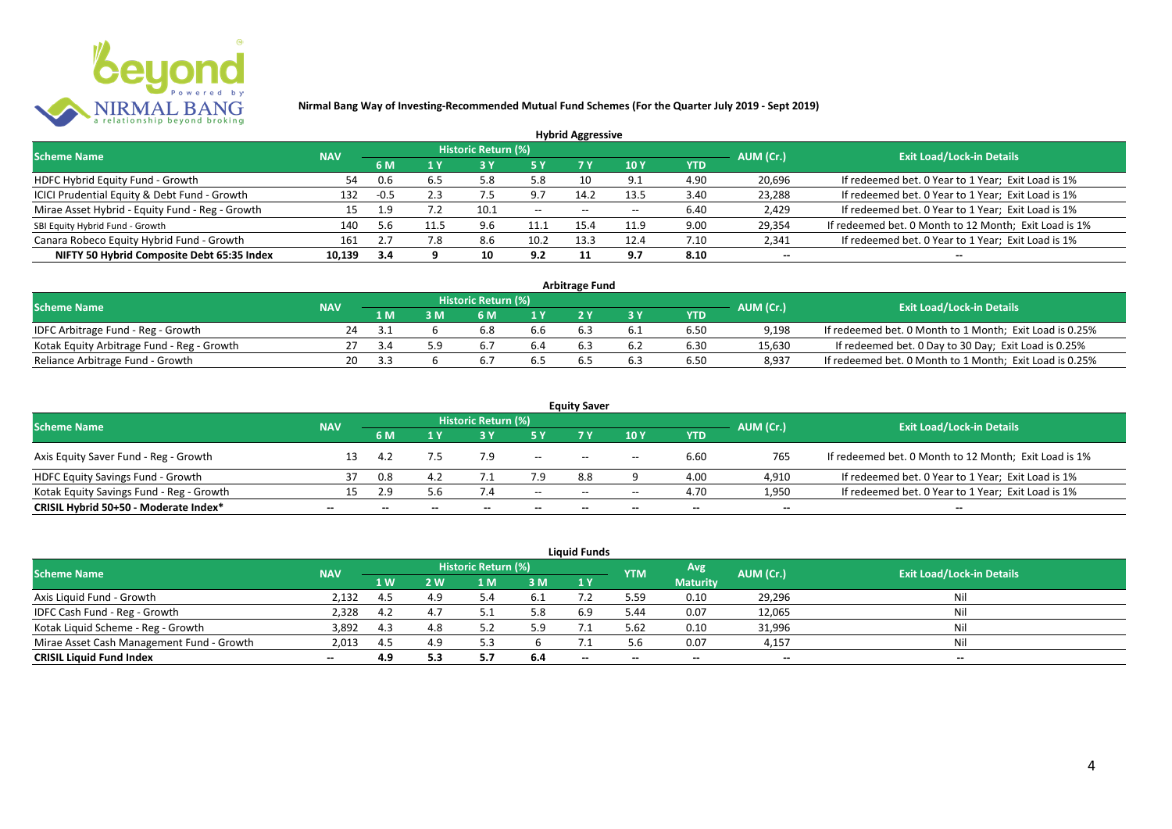

|                                                 |            |        |      |                            |       | <b>Hybrid Aggressive</b> |                          |            |                          |                                                       |
|-------------------------------------------------|------------|--------|------|----------------------------|-------|--------------------------|--------------------------|------------|--------------------------|-------------------------------------------------------|
| <b>Scheme Name</b>                              | <b>NAV</b> |        |      | <b>Historic Return (%)</b> |       |                          |                          |            | AUM (Cr.)                | <b>Exit Load/Lock-in Details</b>                      |
|                                                 |            | 6 M    | 1 Y  |                            | 5 Y   | 7 Y                      | 10Y                      | <b>YTD</b> |                          |                                                       |
| HDFC Hybrid Equity Fund - Growth                | 54         | 0.6    | 6.5  | 5.8                        | 5.8   | 10                       | Q.                       | 4.90       | 20,696                   | If redeemed bet. 0 Year to 1 Year; Exit Load is 1%    |
| ICICI Prudential Equity & Debt Fund - Growth    | 132        | $-0.5$ | 2.3  | ۵.,                        | 9.7   | 14.2                     | 13.5                     | 3.40       | 23,288                   | If redeemed bet. 0 Year to 1 Year; Exit Load is 1%    |
| Mirae Asset Hybrid - Equity Fund - Reg - Growth | 15         | 1.9    |      | 10.1                       | $- -$ | $- -$                    | $\overline{\phantom{a}}$ | 6.40       | 2,429                    | If redeemed bet. 0 Year to 1 Year; Exit Load is 1%    |
| SBI Equity Hybrid Fund - Growth                 | 140        | 5.6    | 11.5 | 9.6                        | 11.1  | 15.4                     | 11.9                     | 9.00       | 29,354                   | If redeemed bet. 0 Month to 12 Month; Exit Load is 1% |
| Canara Robeco Equity Hybrid Fund - Growth       | 161        |        |      | 8.6                        | 10.2  | 13.3                     | 12.4                     | 7.10       | 2,341                    | If redeemed bet. 0 Year to 1 Year; Exit Load is 1%    |
| NIFTY 50 Hybrid Composite Debt 65:35 Index      | 10.139     | -3.4   |      | 10                         | 9.2   |                          | 9.7                      | 8.10       | $\overline{\phantom{a}}$ | $\overline{\phantom{a}}$                              |

| <b>Arbitrage Fund</b>                      |            |      |  |                     |     |     |     |            |           |                                                         |  |  |
|--------------------------------------------|------------|------|--|---------------------|-----|-----|-----|------------|-----------|---------------------------------------------------------|--|--|
| <b>Scheme Name</b>                         | <b>NAV</b> |      |  | Historic Return (%) |     |     |     |            | AUM (Cr.) | <b>Exit Load/Lock-in Details</b>                        |  |  |
|                                            |            | l M  |  | 6 M                 |     |     |     | <b>YTD</b> |           |                                                         |  |  |
| IDFC Arbitrage Fund - Reg - Growth         | 24         | -5.1 |  |                     | b.b |     |     | 6.50       | 9.198     | If redeemed bet. 0 Month to 1 Month; Exit Load is 0.25% |  |  |
| Kotak Equity Arbitrage Fund - Reg - Growth |            |      |  |                     |     | 6.3 | 6.2 | 6.30       | 15,630    | If redeemed bet. 0 Day to 30 Day; Exit Load is 0.25%    |  |  |
| Reliance Arbitrage Fund - Growth           | 20         | ≺≺   |  |                     |     |     | 6.3 | 6.50       | 8.937     | If redeemed bet. 0 Month to 1 Month; Exit Load is 0.25% |  |  |

| <b>Equity Saver</b>                      |                          |                          |       |       |                          |       |       |                          |                          |                                                       |  |  |
|------------------------------------------|--------------------------|--------------------------|-------|-------|--------------------------|-------|-------|--------------------------|--------------------------|-------------------------------------------------------|--|--|
| <b>Scheme Name</b>                       | <b>NAV</b>               | Historic Return (%)      |       |       |                          |       |       |                          | AUM (Cr.)                | <b>Exit Load/Lock-in Details</b>                      |  |  |
|                                          |                          | 6 M                      |       |       |                          |       | 10 Y  | <b>YTD</b>               |                          |                                                       |  |  |
| Axis Equity Saver Fund - Reg - Growth    |                          |                          |       | 7.9   | $\overline{\phantom{a}}$ | $- -$ | $- -$ | 6.60                     | 765                      | If redeemed bet. 0 Month to 12 Month; Exit Load is 1% |  |  |
| <b>HDFC Equity Savings Fund - Growth</b> |                          | 0.8                      |       |       | 7.9                      | 8.8   |       | 4.00                     | 4,910                    | If redeemed bet. 0 Year to 1 Year; Exit Load is 1%    |  |  |
| Kotak Equity Savings Fund - Reg - Growth | 15.                      | 2.9                      | 5.6   |       | $- -$                    | $- -$ | $- -$ | 4.70                     | 1,950                    | If redeemed bet. 0 Year to 1 Year; Exit Load is 1%    |  |  |
| CRISIL Hybrid 50+50 - Moderate Index*    | $\overline{\phantom{a}}$ | $\overline{\phantom{a}}$ | $- -$ | $- -$ | $\overline{\phantom{a}}$ | $- -$ | $- -$ | $\overline{\phantom{a}}$ | $\overline{\phantom{a}}$ | $\overline{\phantom{a}}$                              |  |  |

| <b>Liquid Funds</b>                       |            |      |     |                     |      |       |            |                 |           |                                  |  |  |
|-------------------------------------------|------------|------|-----|---------------------|------|-------|------------|-----------------|-----------|----------------------------------|--|--|
| <b>Scheme Name</b>                        | <b>NAV</b> |      |     | Historic Return (%) |      |       | <b>YTM</b> | Avg             | AUM (Cr.) | <b>Exit Load/Lock-in Details</b> |  |  |
|                                           |            | 1 W. | 2 W | 1 M                 | 3 M  | 1Y    |            | <b>Maturity</b> |           |                                  |  |  |
| Axis Liquid Fund - Growth                 | 2,132      | 4.5  |     |                     | -6.1 |       | 5.59       | 0.10            | 29,296    | Nil                              |  |  |
| IDFC Cash Fund - Reg - Growth             | 2,328      | 4.2  |     |                     |      | 6.9   | 5.44       | 0.07            | 12,065    | Nil                              |  |  |
| Kotak Liquid Scheme - Reg - Growth        | 3,892      | 4.3  |     |                     | 5.9  |       | 5.62       | 0.10            | 31,996    | Nil                              |  |  |
| Mirae Asset Cash Management Fund - Growth | 2,013      | 4.5  |     |                     |      |       | 5.6        | 0.07            | 4,157     | Nil                              |  |  |
| <b>CRISIL Liquid Fund Index</b>           | $\sim$     | 4.9  | 5.3 |                     | 6.4  | $- -$ | $- -$      | $- -$           | --        | $- -$                            |  |  |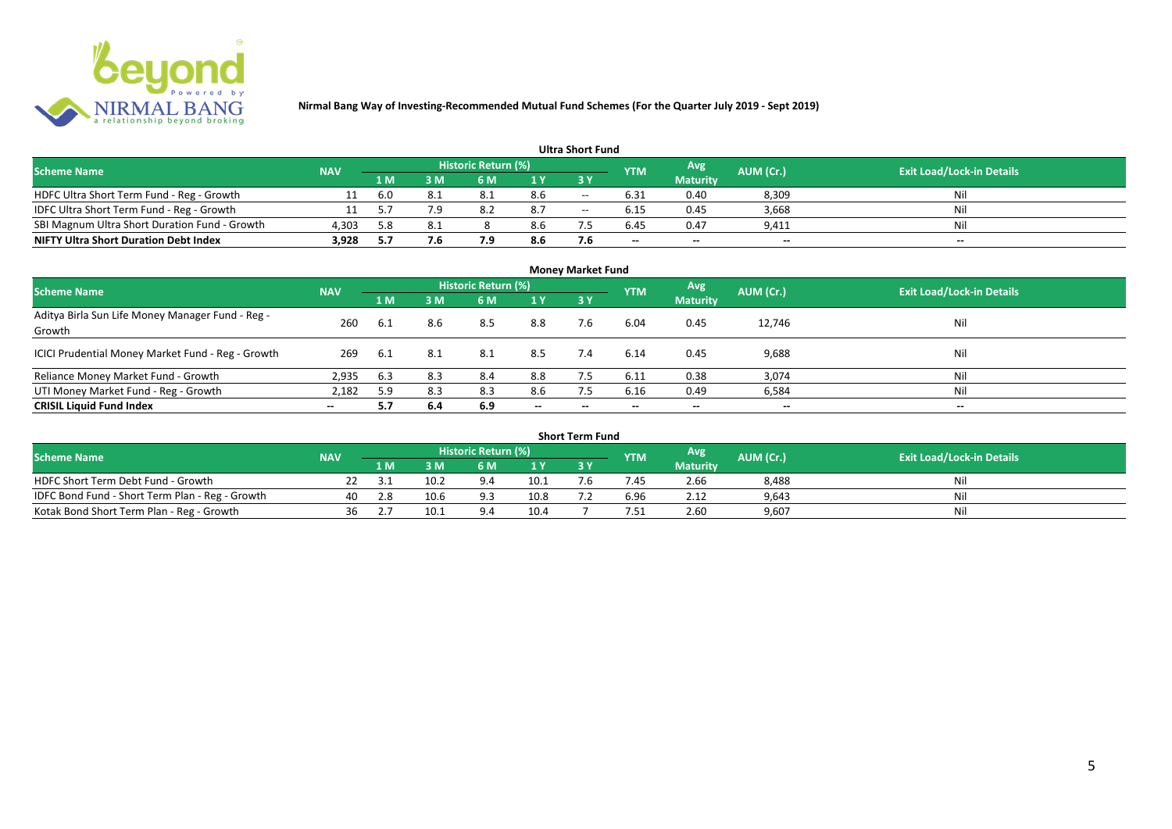

#### **1 M 3 M 6 M 1 Y 3 Y** NOFC Ultra Short Term Fund - Reg - Growth 11 6.0 8.1 8.1 8.6 -- 6.31 0.40 8,309 Nil<br>11 5.7 7.9 8.2 8.7 -- 6.15 0.45 3,668 Nil IDFC Ultra Short Term Fund - Reg - Growth 11 5.7 7.9 8.2 8.7 -- 6.15 0.45 3,668 Nil Nil<br>SBI Magnum Ultra Short Duration Fund - Growth 4.303 5.8 8.1 8 8.6 7.5 6.45 0.47 9.411 Nil Nil SBI Magnum Ultra Short Duration Fund - Growth 4,303 5.8 8.1 8 8.6 7.5 6.45 0.47 9,411 Nil **NIFTY Ultra Short Duration Debt Index 3,928 5.7 7.6 7.9 8.6 7.6 -- -- -- -- Avg Maturity Historic Return (%) YTM Ultra Short Fund** Scheme Name **NAV NAV Historic Return (%)** NAV Historic Return (%) Note and the May AUM (Cr.) Exit Load/Lock-in Details<br>The Scheme Name of the State Load/Lock-in Details

| <b>Money Market Fund</b>                                   |            |     |     |                            |                          |       |            |                 |                          |                                  |  |
|------------------------------------------------------------|------------|-----|-----|----------------------------|--------------------------|-------|------------|-----------------|--------------------------|----------------------------------|--|
| <b>Scheme Name</b>                                         | <b>NAV</b> |     |     | <b>Historic Return (%)</b> |                          |       | <b>YTM</b> | Avg             | AUM (Cr.)                | <b>Exit Load/Lock-in Details</b> |  |
|                                                            |            | 1 M | 3M  | 6 M                        | 1Y                       | 3Y    |            | <b>Maturity</b> |                          |                                  |  |
| Aditya Birla Sun Life Money Manager Fund - Reg -<br>Growth | 260        | 6.1 | 8.6 | 8.5                        | 8.8                      | 7.6   | 6.04       | 0.45            | 12,746                   | Nil                              |  |
| ICICI Prudential Money Market Fund - Reg - Growth          | 269        | 6.1 | 8.1 | 8.1                        | 8.5                      | 7.4   | 6.14       | 0.45            | 9,688                    | Nil                              |  |
| Reliance Money Market Fund - Growth                        | 2,935      | 6.3 | 8.3 | 8.4                        | 8.8                      |       | 6.11       | 0.38            | 3,074                    | Nil                              |  |
| UTI Money Market Fund - Reg - Growth                       | 2,182      | 5.9 | 8.3 | 8.3                        | 8.6                      | 7.5   | 6.16       | 0.49            | 6,584                    | Nil                              |  |
| <b>CRISIL Liquid Fund Index</b>                            | $-$        | 5.7 | 6.4 | 6.9                        | $\overline{\phantom{a}}$ | $- -$ | $- -$      | $\sim$          | $\overline{\phantom{a}}$ | $\overline{\phantom{a}}$         |  |

| Short Term Fund                                 |            |                                          |      |      |                |           |                                  |                 |       |     |  |  |
|-------------------------------------------------|------------|------------------------------------------|------|------|----------------|-----------|----------------------------------|-----------------|-------|-----|--|--|
| <b>Scheme Name</b>                              | <b>NAV</b> | Historic Return (%)<br>Avg<br><b>YTM</b> |      |      |                | AUM (Cr.) | <b>Exit Load/Lock-in Details</b> |                 |       |     |  |  |
|                                                 |            | 1 M                                      | 3 M  | 6 M. | 1 <sub>V</sub> |           |                                  | <b>Maturity</b> |       |     |  |  |
| HDFC Short Term Debt Fund - Growth              |            | -3.1                                     | 10.2 |      | 10.1           | $\cdot$ b | '.45                             | 2.66            | 8,488 | Nil |  |  |
| IDFC Bond Fund - Short Term Plan - Reg - Growth | 40         | 2.8                                      | 10.6 |      | 10.8           |           | 6.96                             | 2.12            | 9,643 | Nil |  |  |
| Kotak Bond Short Term Plan - Reg - Growth       | 36         |                                          | 10.1 |      | 10.4           |           | '.51                             | 2.60            | 9,607 | Nil |  |  |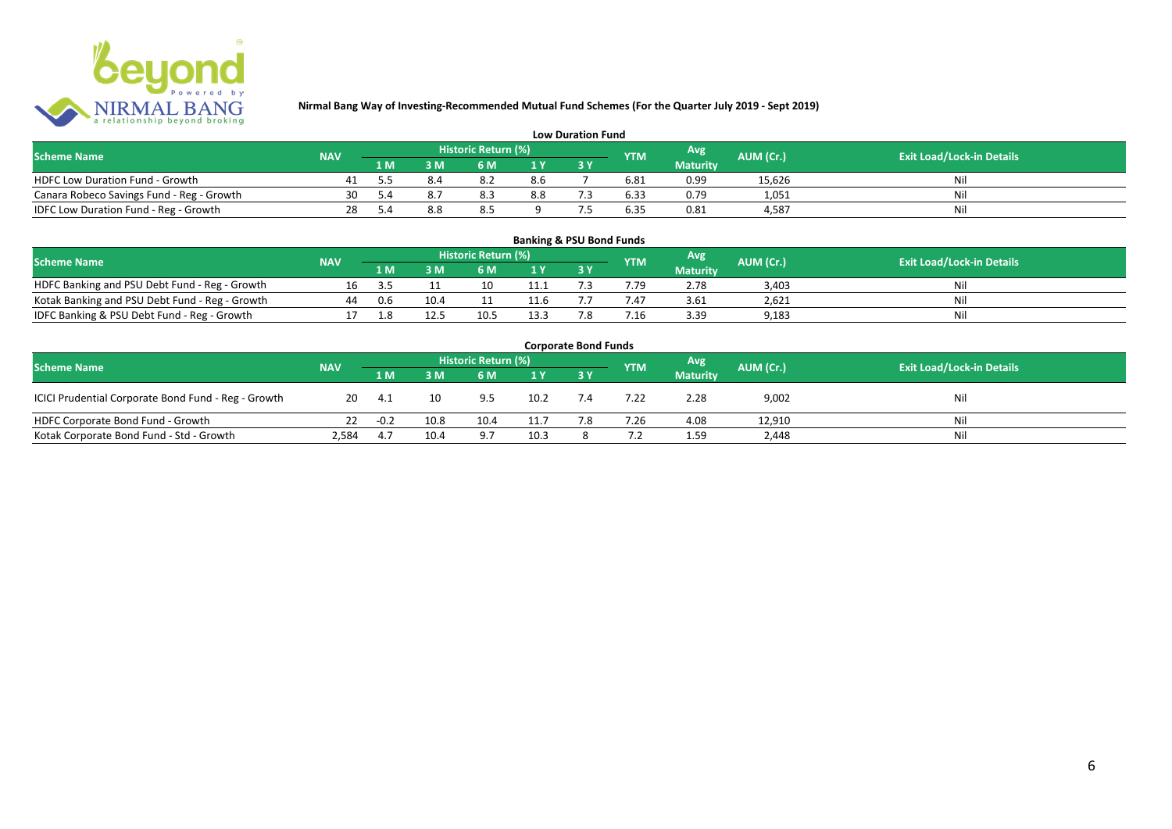

| <b>Low Duration Fund</b>                  |            |     |  |                     |     |  |            |                 |           |                                  |  |  |
|-------------------------------------------|------------|-----|--|---------------------|-----|--|------------|-----------------|-----------|----------------------------------|--|--|
| <b>Scheme Name</b>                        | <b>NAV</b> |     |  | Historic Return (%) |     |  | <b>YTM</b> | Avg             | AUM (Cr.) | <b>Exit Load/Lock-in Details</b> |  |  |
|                                           |            | 1 M |  | 6 M.                |     |  |            | <b>Maturity</b> |           |                                  |  |  |
| <b>HDFC Low Duration Fund - Growth</b>    |            |     |  |                     | 8.6 |  | 6.81       | 0.99            | 15,626    | Nli                              |  |  |
| Canara Robeco Savings Fund - Reg - Growth | 30         |     |  | 8.3                 | 8.8 |  | 6.33       | 0.79            | 1,051     | Ni                               |  |  |
| IDFC Low Duration Fund - Reg - Growth     | 28         |     |  | 8.5                 |     |  | 6.35       | 0.81            | 4.587     | Ni                               |  |  |

#### **1 M 3 M 6 M 1 Y 3 Y** Notak Banking and PSU Debt Fund - Reg - Growth 16 3.5 11 10 11.1 7.3 7.79 2.78 3,403 Nil<br>
Kotak Banking and PSU Debt Fund - Reg - Growth 44 0.6 10.4 11 11.6 7.7 7.47 3.61 2,621 Nil Notak Banking and PSU Debt Fund - Reg - Growth 44 0.6 10.4 11 11.6 7.7 7.47 3.61 2,621 Nil<br>1999 - IDFC Banking & PSU Debt Fund - Reg - Growth 17 1.8 12.5 10.5 13.3 7.8 7.16 3.39 9,183 IDFC Banking & PSU Debt Fund - Reg - Growth 17 1.8 12.5 10.5 13.3 7.8 7.16 3.39 9,183 **Banking & PSU Bond Funds Scheme Name NAV REGISTER AUM (Cr.) AUM (Cr.)** Exit Load/Lock-in Details **Historic Return (%) Maturity**

| <b>Corporate Bond Funds</b>                         |            |        |      |                     |      |     |            |                 |           |                                  |  |  |
|-----------------------------------------------------|------------|--------|------|---------------------|------|-----|------------|-----------------|-----------|----------------------------------|--|--|
| <b>Scheme Name</b>                                  | <b>NAV</b> |        |      | Historic Return (%) |      |     | <b>YTM</b> | <b>Avg</b>      | AUM (Cr.) | <b>Exit Load/Lock-in Details</b> |  |  |
|                                                     |            | 1 M    | 3 M  | 6 M                 | 1Y   |     |            | <b>Maturity</b> |           |                                  |  |  |
| ICICI Prudential Corporate Bond Fund - Reg - Growth | 20         | 4.1    | 10   | 9.5                 | 10.2 | 7.4 | 7.22       | 2.28            | 9,002     | Nil                              |  |  |
| HDFC Corporate Bond Fund - Growth                   |            | $-0.2$ | 10.8 | 10.4                | 11.7 | 7.8 | 7.26       | 4.08            | 12,910    | Ni                               |  |  |
| Kotak Corporate Bond Fund - Std - Growth            | 2,584      | 4.7    | 10.4 | 9.7                 | 10.3 |     |            | 1.59            | 2,448     | Nil                              |  |  |